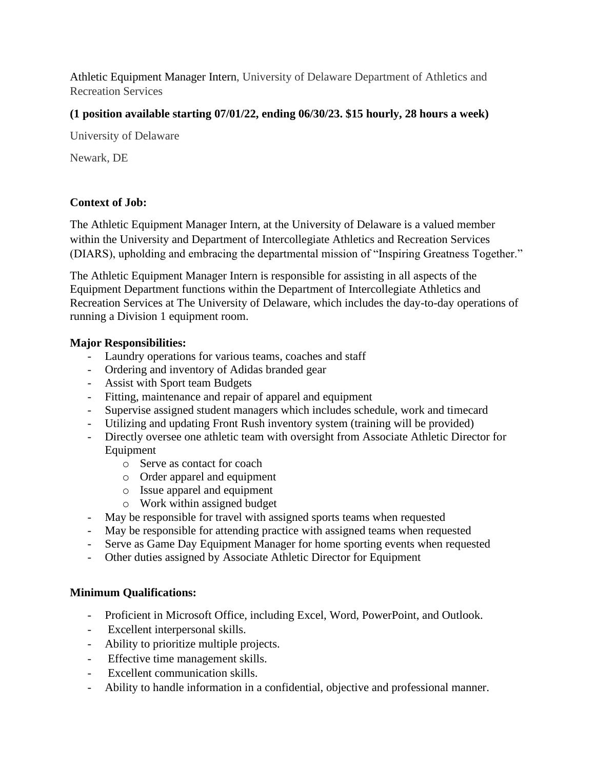Athletic Equipment Manager Intern, University of Delaware Department of Athletics and Recreation Services

# **(1 position available starting 07/01/22, ending 06/30/23. \$15 hourly, 28 hours a week)**

University of Delaware

Newark, DE

# **Context of Job:**

The Athletic Equipment Manager Intern, at the University of Delaware is a valued member within the University and Department of Intercollegiate Athletics and Recreation Services (DIARS), upholding and embracing the departmental mission of "Inspiring Greatness Together."

The Athletic Equipment Manager Intern is responsible for assisting in all aspects of the Equipment Department functions within the Department of Intercollegiate Athletics and Recreation Services at The University of Delaware, which includes the day-to-day operations of running a Division 1 equipment room.

## **Major Responsibilities:**

- Laundry operations for various teams, coaches and staff
- Ordering and inventory of Adidas branded gear
- Assist with Sport team Budgets
- Fitting, maintenance and repair of apparel and equipment
- Supervise assigned student managers which includes schedule, work and timecard
- Utilizing and updating Front Rush inventory system (training will be provided)
- Directly oversee one athletic team with oversight from Associate Athletic Director for Equipment
	- o Serve as contact for coach
	- o Order apparel and equipment
	- o Issue apparel and equipment
	- o Work within assigned budget
- May be responsible for travel with assigned sports teams when requested
- May be responsible for attending practice with assigned teams when requested
- Serve as Game Day Equipment Manager for home sporting events when requested
- Other duties assigned by Associate Athletic Director for Equipment

## **Minimum Qualifications:**

- Proficient in Microsoft Office, including Excel, Word, PowerPoint, and Outlook.
- Excellent interpersonal skills.
- Ability to prioritize multiple projects.
- Effective time management skills.
- Excellent communication skills.
- Ability to handle information in a confidential, objective and professional manner.